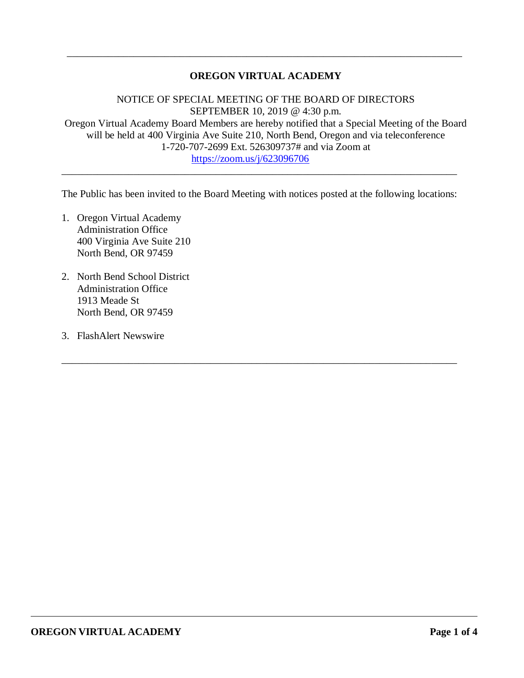## **OREGON VIRTUAL ACADEMY**

\_\_\_\_\_\_\_\_\_\_\_\_\_\_\_\_\_\_\_\_\_\_\_\_\_\_\_\_\_\_\_\_\_\_\_\_\_\_\_\_\_\_\_\_\_\_\_\_\_\_\_\_\_\_\_\_\_\_\_\_\_\_\_\_\_\_\_\_\_\_\_\_\_\_\_\_\_

NOTICE OF SPECIAL MEETING OF THE BOARD OF DIRECTORS SEPTEMBER 10, 2019 @ 4:30 p.m. Oregon Virtual Academy Board Members are hereby notified that a Special Meeting of the Board will be held at 400 Virginia Ave Suite 210, North Bend, Oregon and via teleconference 1-720-707-2699 Ext. 526309737# and via Zoom at <https://zoom.us/j/623096706>

The Public has been invited to the Board Meeting with notices posted at the following locations:

\_\_\_\_\_\_\_\_\_\_\_\_\_\_\_\_\_\_\_\_\_\_\_\_\_\_\_\_\_\_\_\_\_\_\_\_\_\_\_\_\_\_\_\_\_\_\_\_\_\_\_\_\_\_\_\_\_\_\_\_\_\_\_\_\_\_\_\_\_\_\_\_\_\_\_\_\_

\_\_\_\_\_\_\_\_\_\_\_\_\_\_\_\_\_\_\_\_\_\_\_\_\_\_\_\_\_\_\_\_\_\_\_\_\_\_\_\_\_\_\_\_\_\_\_\_\_\_\_\_\_\_\_\_\_\_\_\_\_\_\_\_\_\_\_\_\_\_\_\_\_\_\_\_\_

- 1. Oregon Virtual Academy Administration Office 400 Virginia Ave Suite 210 North Bend, OR 97459
- 2. North Bend School District Administration Office 1913 Meade St North Bend, OR 97459
- 3. FlashAlert Newswire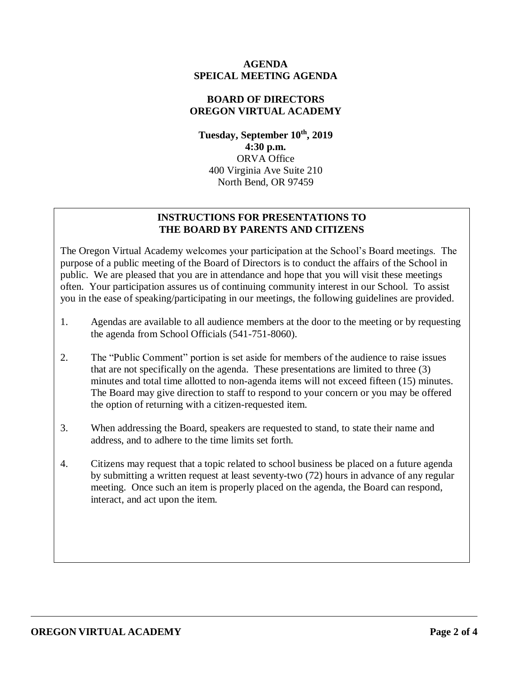### **AGENDA SPEICAL MEETING AGENDA**

## **BOARD OF DIRECTORS OREGON VIRTUAL ACADEMY**

**Tuesday, September 10th , 2019 4:30 p.m.** ORVA Office 400 Virginia Ave Suite 210 North Bend, OR 97459

## **INSTRUCTIONS FOR PRESENTATIONS TO THE BOARD BY PARENTS AND CITIZENS**

The Oregon Virtual Academy welcomes your participation at the School's Board meetings. The purpose of a public meeting of the Board of Directors is to conduct the affairs of the School in public. We are pleased that you are in attendance and hope that you will visit these meetings often. Your participation assures us of continuing community interest in our School. To assist you in the ease of speaking/participating in our meetings, the following guidelines are provided.

- 1. Agendas are available to all audience members at the door to the meeting or by requesting the agenda from School Officials (541-751-8060).
- 2. The "Public Comment" portion is set aside for members of the audience to raise issues that are not specifically on the agenda. These presentations are limited to three (3) minutes and total time allotted to non-agenda items will not exceed fifteen (15) minutes. The Board may give direction to staff to respond to your concern or you may be offered the option of returning with a citizen-requested item.
- 3. When addressing the Board, speakers are requested to stand, to state their name and address, and to adhere to the time limits set forth.
- 4. Citizens may request that a topic related to school business be placed on a future agenda by submitting a written request at least seventy-two (72) hours in advance of any regular meeting. Once such an item is properly placed on the agenda, the Board can respond, interact, and act upon the item.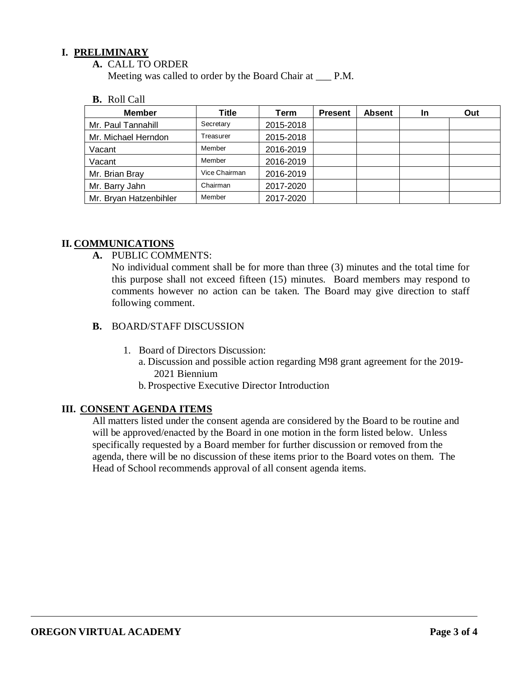## **I. PRELIMINARY**

**A.** CALL TO ORDER

Meeting was called to order by the Board Chair at \_\_\_ P.M.

**B.** Roll Call

| <b>Member</b>          | Title         | Term      | <b>Present</b> | <b>Absent</b> | In | Out |
|------------------------|---------------|-----------|----------------|---------------|----|-----|
| Mr. Paul Tannahill     | Secretary     | 2015-2018 |                |               |    |     |
| Mr. Michael Herndon    | Treasurer     | 2015-2018 |                |               |    |     |
| Vacant                 | Member        | 2016-2019 |                |               |    |     |
| Vacant                 | Member        | 2016-2019 |                |               |    |     |
| Mr. Brian Bray         | Vice Chairman | 2016-2019 |                |               |    |     |
| Mr. Barry Jahn         | Chairman      | 2017-2020 |                |               |    |     |
| Mr. Bryan Hatzenbihler | Member        | 2017-2020 |                |               |    |     |

### **II. COMMUNICATIONS**

**A.** PUBLIC COMMENTS:

No individual comment shall be for more than three (3) minutes and the total time for this purpose shall not exceed fifteen (15) minutes. Board members may respond to comments however no action can be taken. The Board may give direction to staff following comment.

#### **B.** BOARD/STAFF DISCUSSION

- 1. Board of Directors Discussion:
	- a. Discussion and possible action regarding M98 grant agreement for the 2019- 2021 Biennium
	- b. Prospective Executive Director Introduction

## **III. CONSENT AGENDA ITEMS**

All matters listed under the consent agenda are considered by the Board to be routine and will be approved/enacted by the Board in one motion in the form listed below. Unless specifically requested by a Board member for further discussion or removed from the agenda, there will be no discussion of these items prior to the Board votes on them. The Head of School recommends approval of all consent agenda items.